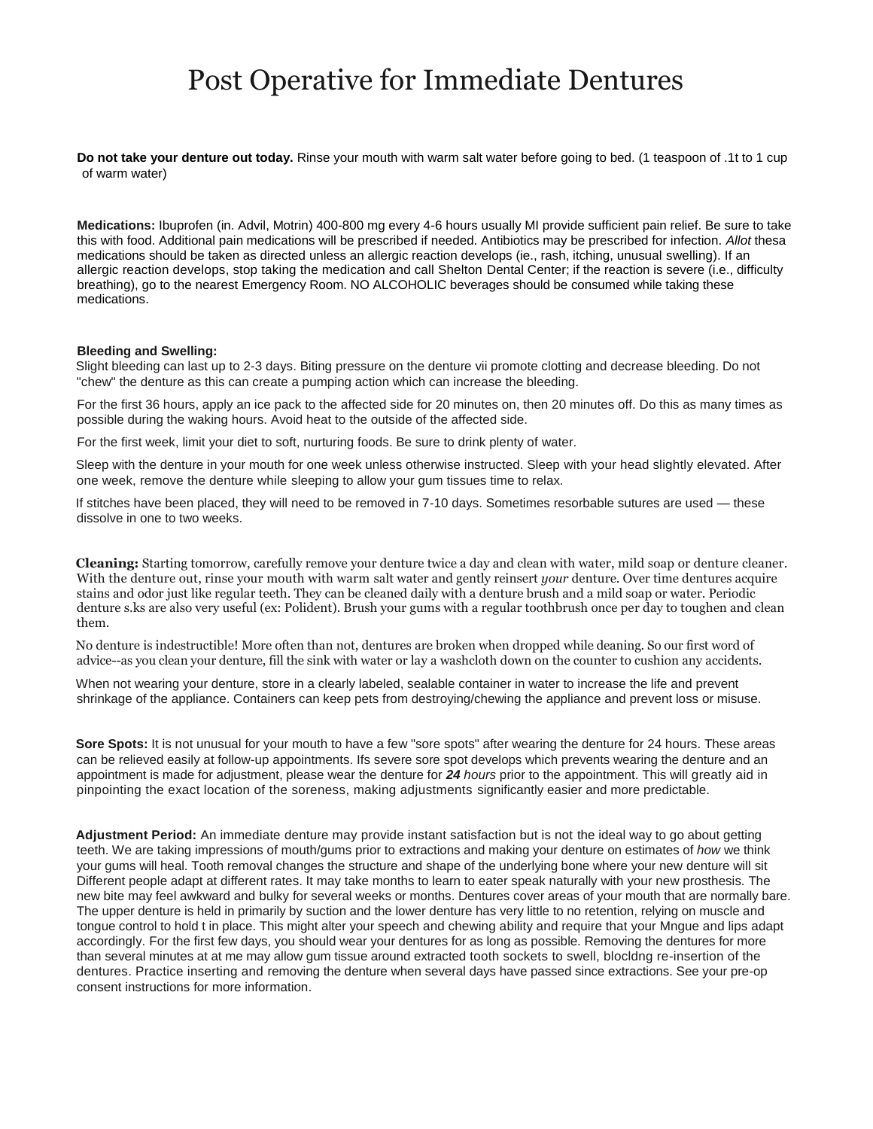## Post Operative for Immediate Dentures

**Do not take your denture out today.** Rinse your mouth with warm salt water before going to bed. (1 teaspoon of .1t to 1 cup of warm water)

**Medications:** Ibuprofen (in. Advil, Motrin) 400-800 mg every 4-6 hours usually MI provide sufficient pain relief. Be sure to take this with food. Additional pain medications will be prescribed if needed. Antibiotics may be prescribed for infection. *Allot* thesa medications should be taken as directed unless an allergic reaction develops (ie., rash, itching, unusual swelling). If an allergic reaction develops, stop taking the medication and call Shelton Dental Center; if the reaction is severe (i.e., difficulty breathing), go to the nearest Emergency Room. NO ALCOHOLIC beverages should be consumed while taking these medications.

## **Bleeding and Swelling:**

Slight bleeding can last up to 2-3 days. Biting pressure on the denture vii promote clotting and decrease bleeding. Do not "chew" the denture as this can create a pumping action which can increase the bleeding.

For the first 36 hours, apply an ice pack to the affected side for 20 minutes on, then 20 minutes off. Do this as many times as possible during the waking hours. Avoid heat to the outside of the affected side.

For the first week, limit your diet to soft, nurturing foods. Be sure to drink plenty of water.

Sleep with the denture in your mouth for one week unless otherwise instructed. Sleep with your head slightly elevated. After one week, remove the denture while sleeping to allow your gum tissues time to relax.

If stitches have been placed, they will need to be removed in 7-10 days. Sometimes resorbable sutures are used — these dissolve in one to two weeks.

**Cleaning:** Starting tomorrow, carefully remove your denture twice a day and clean with water, mild soap or denture cleaner. With the denture out, rinse your mouth with warm salt water and gently reinsert *your* denture. Over time dentures acquire stains and odor just like regular teeth. They can be cleaned daily with a denture brush and a mild soap or water. Periodic denture s.ks are also very useful (ex: Polident). Brush your gums with a regular toothbrush once per day to toughen and clean them.

No denture is indestructible! More often than not, dentures are broken when dropped while deaning. So our first word of advice--as you clean your denture, fill the sink with water or lay a washcloth down on the counter to cushion any accidents.

When not wearing your denture, store in a clearly labeled, sealable container in water to increase the life and prevent shrinkage of the appliance. Containers can keep pets from destroying/chewing the appliance and prevent loss or misuse.

**Sore Spots:** It is not unusual for your mouth to have a few "sore spots" after wearing the denture for 24 hours. These areas can be relieved easily at follow-up appointments. Ifs severe sore spot develops which prevents wearing the denture and an appointment is made for adjustment, please wear the denture for *24 hours* prior to the appointment. This will greatly aid in pinpointing the exact location of the soreness, making adjustments significantly easier and more predictable.

**Adjustment Period:** An immediate denture may provide instant satisfaction but is not the ideal way to go about getting teeth. We are taking impressions of mouth/gums prior to extractions and making your denture on estimates of *how* we think your gums will heal. Tooth removal changes the structure and shape of the underlying bone where your new denture will sit Different people adapt at different rates. It may take months to learn to eater speak naturally with your new prosthesis. The new bite may feel awkward and bulky for several weeks or months. Dentures cover areas of your mouth that are normally bare. The upper denture is held in primarily by suction and the lower denture has very little to no retention, relying on muscle and tongue control to hold t in place. This might alter your speech and chewing ability and require that your Mngue and lips adapt accordingly. For the first few days, you should wear your dentures for as long as possible. Removing the dentures for more than several minutes at at me may allow gum tissue around extracted tooth sockets to swell, blocldng re-insertion of the dentures. Practice inserting and removing the denture when several days have passed since extractions. See your pre-op consent instructions for more information.